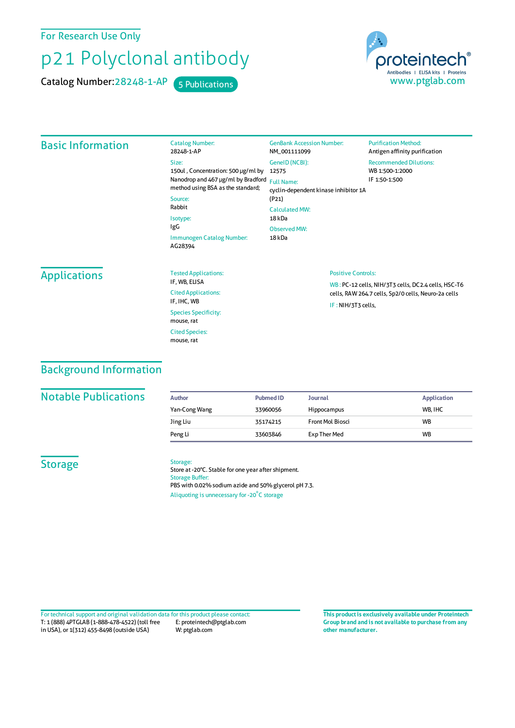For Research Use Only

# p21 Polyclonal antibody

Catalog Number: 28248-1-AP 5 Publications



#### Basic Information Catalog Number: 28248-1-AP Size: 150ul , Concentration: 500 μg/ml by 12575 Nanodrop and 467 μg/ml by Bradford Full Name: method using BSA asthe standard; Source: Rabbit Isotype: IgG Immunogen Catalog Number: AG28394 GenBank Accession Number: NM\_001111099 GeneID(NCBI): cyclin-dependent kinase inhibitor 1A (P21) CalculatedMW: 18 kDa ObservedMW: 18 kDa **Purification Method:** Antigen affinity purification Recommended Dilutions: WB 1:500-1:2000 IF 1:50-1:500 **Applications** Tested Applications: IF, WB, ELISA Cited Applications: IF, IHC, WB Species Specificity: mouse, rat Cited Species: Positive Controls: WB : PC-12 cells, NIH/3T3 cells, DC2.4 cells, HSC-T6 cells, RAW264.7 cells, Sp2/0 cells, Neuro-2a cells IF : NIH/3T3 cells,

### Background Information

#### **Notable Publications**

| Author        | <b>Pubmed ID</b> | <b>Journal</b>     | <b>Application</b> |
|---------------|------------------|--------------------|--------------------|
| Yan-Cong Wang | 33960056         | <b>Hippocampus</b> | WB. IHC            |
| Jing Liu      | 35174215         | Front Mol Biosci   | <b>WB</b>          |
| Peng Li       | 33603846         | Exp Ther Med       | <b>WB</b>          |

### **Storage**

#### Storage:

mouse, rat

Store at -20°C. Stable for one year after shipment. Storage Buffer: PBS with 0.02% sodium azide and 50% glycerol pH 7.3. Aliquoting is unnecessary for -20<sup>°</sup>C storage

T: 1 (888) 4PTGLAB (1-888-478-4522) (toll free in USA), or 1(312) 455-8498 (outside USA) E: proteintech@ptglab.com W: ptglab.com Fortechnical support and original validation data forthis product please contact: **This productis exclusively available under Proteintech**

**Group brand and is not available to purchase from any other manufacturer.**